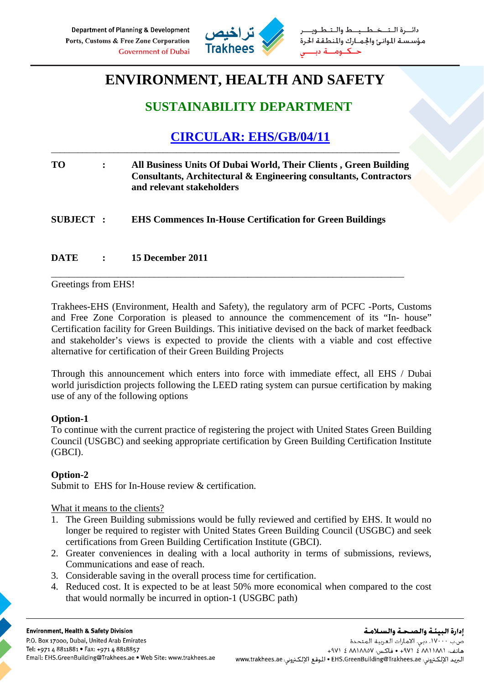

طــيــط والــتـ مؤسسة الموانئ والجمارك والمنطقة الحرة

# **ENVIRONMENT, HEALTH AND SAFETY**

### **SUSTAINABILITY DEPARTMENT**

## **CIRCULAR: EHS/GB/04/11**

| TО               | All Business Units Of Dubai World, Their Clients, Green Building<br>Consultants, Architectural & Engineering consultants, Contractors<br>and relevant stakeholders |
|------------------|--------------------------------------------------------------------------------------------------------------------------------------------------------------------|
| <b>SUBJECT :</b> | <b>EHS Commences In-House Certification for Green Buildings</b>                                                                                                    |

\_\_\_\_\_\_\_\_\_\_\_\_\_\_\_\_\_\_\_\_\_\_\_\_\_\_\_\_\_\_\_\_\_\_\_\_\_\_\_\_\_\_\_\_\_\_\_\_\_\_\_\_\_\_\_\_\_\_\_\_\_\_\_\_\_\_\_\_\_\_\_\_\_\_\_\_\_\_\_

\_\_\_\_\_\_\_\_\_\_\_\_\_\_\_\_\_\_\_\_\_\_\_\_\_\_\_\_\_\_\_\_\_\_\_\_\_\_\_\_\_\_\_\_\_\_\_\_\_\_\_\_\_\_\_\_\_\_\_\_\_\_\_\_\_\_\_\_\_\_\_\_\_\_\_\_\_\_

**DATE : 15 December 2011** 

Greetings from EHS!

Trakhees-EHS (Environment, Health and Safety), the regulatory arm of PCFC -Ports, Customs and Free Zone Corporation is pleased to announce the commencement of its "In- house" Certification facility for Green Buildings. This initiative devised on the back of market feedback and stakeholder's views is expected to provide the clients with a viable and cost effective alternative for certification of their Green Building Projects

Through this announcement which enters into force with immediate effect, all EHS / Dubai world jurisdiction projects following the LEED rating system can pursue certification by making use of any of the following options

### **Option-1**

To continue with the current practice of registering the project with United States Green Building Council (USGBC) and seeking appropriate certification by Green Building Certification Institute (GBCI).

### **Option-2**

Submit to EHS for In-House review & certification.

What it means to the clients?

- 1. The Green Building submissions would be fully reviewed and certified by EHS. It would no longer be required to register with United States Green Building Council (USGBC) and seek certifications from Green Building Certification Institute (GBCI).
- 2. Greater conveniences in dealing with a local authority in terms of submissions, reviews, Communications and ease of reach.
- 3. Considerable saving in the overall process time for certification.
- 4. Reduced cost. It is expected to be at least 50% more economical when compared to the cost that would normally be incurred in option-1 (USGBC path)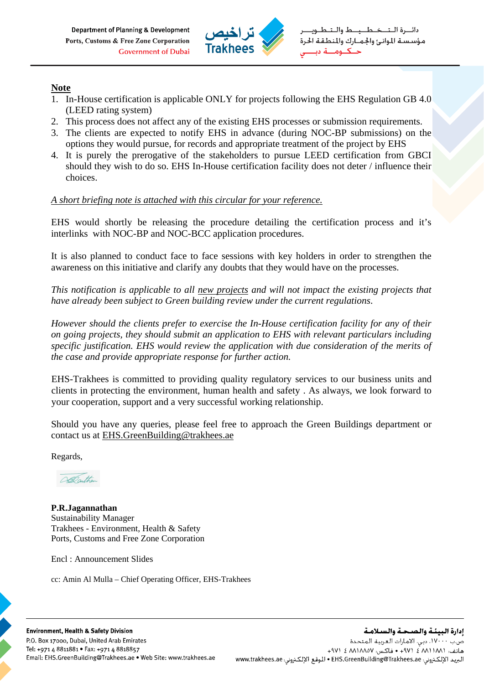

#### **Note**

- 1. In-House certification is applicable ONLY for projects following the EHS Regulation GB 4.0 (LEED rating system)
- 2. This process does not affect any of the existing EHS processes or submission requirements.
- 3. The clients are expected to notify EHS in advance (during NOC-BP submissions) on the options they would pursue, for records and appropriate treatment of the project by EHS
- 4. It is purely the prerogative of the stakeholders to pursue LEED certification from GBCI should they wish to do so. EHS In-House certification facility does not deter / influence their choices.

#### *A short briefing note is attached with this circular for your reference.*

EHS would shortly be releasing the procedure detailing the certification process and it's interlinks with NOC-BP and NOC-BCC application procedures.

It is also planned to conduct face to face sessions with key holders in order to strengthen the awareness on this initiative and clarify any doubts that they would have on the processes.

*This notification is applicable to all new projects and will not impact the existing projects that have already been subject to Green building review under the current regulations*.

*However should the clients prefer to exercise the In-House certification facility for any of their on going projects, they should submit an application to EHS with relevant particulars including specific justification. EHS would review the application with due consideration of the merits of the case and provide appropriate response for further action.* 

EHS-Trakhees is committed to providing quality regulatory services to our business units and clients in protecting the environment, human health and safety . As always, we look forward to your cooperation, support and a very successful working relationship.

Should you have any queries, please feel free to approach the Green Buildings department or contact us at EHS.GreenBuilding@trakhees.ae

Regards,

DeDathe

**P.R.Jagannathan**  Sustainability Manager Trakhees - Environment, Health & Safety Ports, Customs and Free Zone Corporation

Encl : Announcement Slides

cc: Amin Al Mulla – Chief Operating Officer, EHS-Trakhees

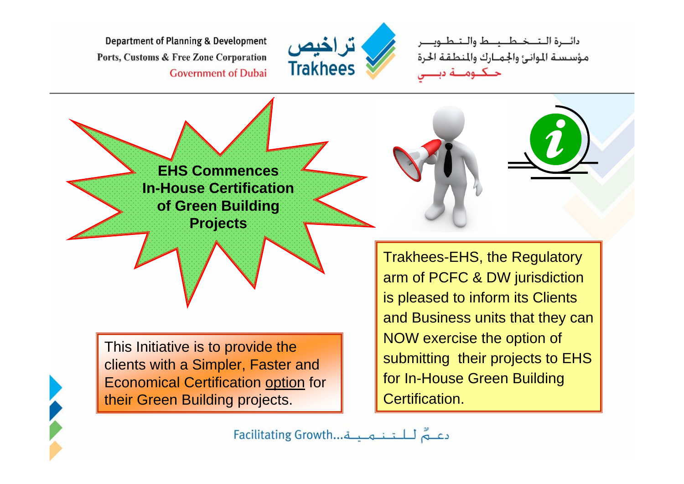**Department of Planning & Development** Ports, Customs & Free Zone Corporation **Government of Dubai** 



دائيرة التخطيط والتطو مؤسسة الموانئ والجمارك والمنطقة الحرة

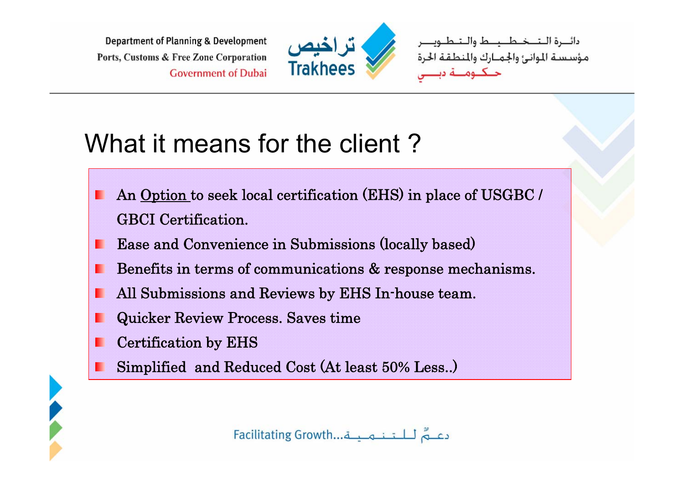**Department of Planning & Development** Ports, Customs & Free Zone Corporation **Government of Dubai** 



دائـــرة الــتـــخــطــــــط والــتـطـ .<br>مؤسسة الموانئ والجمـارك والمنطقة الح

# What it means for the client?

- An Option to seek local certification (EHS) in place of USGBC / GBCI Certification.
- Ease and Convenience in Submissions (locally based)
- Benefits in terms of communications & response mechanisms.
- All Submissions and Reviews by EHS In-house team.
- Quicker Review Process. Saves time
- Certification by EHS
- Simplified and Reduced Cost (At least 50% Less..)